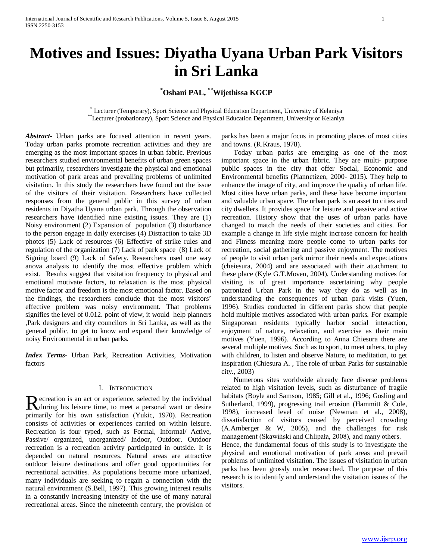# **Motives and Issues: Diyatha Uyana Urban Park Visitors in Sri Lanka**

**\* Oshani PAL, \*\*Wijethissa KGCP**

\* Lecturer (Temporary), Sport Science and Physical Education Department, University of Kelaniya \*\*Lecturer (probationary), Sport Science and Physical Education Department, University of Kelaniya

*Abstract***-** Urban parks are focused attention in recent years. Today urban parks promote recreation activities and they are emerging as the most important spaces in urban fabric. Previous researchers studied environmental benefits of urban green spaces but primarily, researchers investigate the physical and emotional motivation of park areas and prevailing problems of unlimited visitation. In this study the researchers have found out the issue of the visitors of their visitation. Researchers have collected responses from the general public in this survey of urban residents in Diyatha Uyana urban park. Through the observation researchers have identified nine existing issues. They are (1) Noisy environment (2) Expansion of population (3) disturbance to the person engage in daily exercises (4) Distraction to take 3D photos (5) Lack of resources (6) Effective of strike rules and regulation of the organization (7) Lack of park space (8) Lack of Signing board (9) Lack of Safety. Researchers used one way anova analysis to identify the most effective problem which exist. Results suggest that visitation frequency to physical and emotional motivate factors, to relaxation is the most physical motive factor and freedom is the most emotional factor. Based on the findings, the researchers conclude that the most visitors' effective problem was noisy environment. That problems signifies the level of 0.012. point of view, it would help planners ,Park designers and city councilors in Sri Lanka, as well as the general public, to get to know and expand their knowledge of noisy Environmental in urban parks.

*Index Terms*- Urban Park, Recreation Activities, Motivation factors

# I. INTRODUCTION

ecreation is an act or experience, selected by the individual Recreation is an act or experience, selected by the individual<br>during his leisure time, to meet a personal want or desire primarily for his own satisfaction (Yukic, 1970). Recreation consists of activities or experiences carried on within leisure. Recreation is four typed, such as Formal, Informal/ Active, Passive/ organized, unorganized/ Indoor, Outdoor. Outdoor recreation is a recreation activity participated in outside. It is depended on natural resources. Natural areas are attractive outdoor leisure destinations and offer good opportunities for recreational activities. As populations become more urbanized, many individuals are seeking to regain a connection with the natural environment (S.Bell, 1997). This growing interest results in a constantly increasing intensity of the use of many natural recreational areas. Since the nineteenth century, the provision of

parks has been a major focus in promoting places of most cities and towns. (R.Kraus, 1978).

 Today urban parks are emerging as one of the most important space in the urban fabric. They are multi- purpose public spaces in the city that offer Social, Economic and Environmental benefits (Plannetizen, 2000- 2015). They help to enhance the image of city, and improve the quality of urban life. Most cities have urban parks, and these have become important and valuable urban space. The urban park is an asset to cities and city dwellers. It provides space for leisure and passive and active recreation. History show that the uses of urban parks have changed to match the needs of their societies and cities. For example a change in life style might increase concern for health and Fitness meaning more people come to urban parks for recreation, social gathering and passive enjoyment. The motives of people to visit urban park mirror their needs and expectations (cheiesura, 2004) and are associated with their attachment to these place (Kyle G.T.Moven, 2004). Understanding motives for visiting is of great importance ascertaining why people patronized Urban Park in the way they do as well as in understanding the consequences of urban park visits (Yuen, 1996). Studies conducted in different parks show that people hold multiple motives associated with urban parks. For example Singaporean residents typically harbor social interaction, enjoyment of nature, relaxation, and exercise as their main motives (Yuen, 1996). According to Anna Chiesura there are several multiple motives. Such as to sport, to meet others, to play with children, to listen and observe Nature, to meditation, to get inspiration (Chiesura A. , The role of urban Parks for sustainable city., 2003)

 Numerous sites worldwide already face diverse problems related to high visitation levels, such as disturbance of fragile habitats (Boyle and Samson, 1985; Gill et al., 1996; Gosling and Sutherland, 1999), progressing trail erosion (Hammitt & Cole, 1998), increased level of noise (Newman et al., 2008), dissatisfaction of visitors caused by perceived crowding (A.Amberger & W, 2005), and the challenges for risk management (Skawiński and Chlipała, 2008), and many others. Hence, the fundamental focus of this study is to investigate the physical and emotional motivation of park areas and prevail

problems of unlimited visitation. The issues of visitation in urban parks has been grossly under researched. The purpose of this research is to identify and understand the visitation issues of the visitors.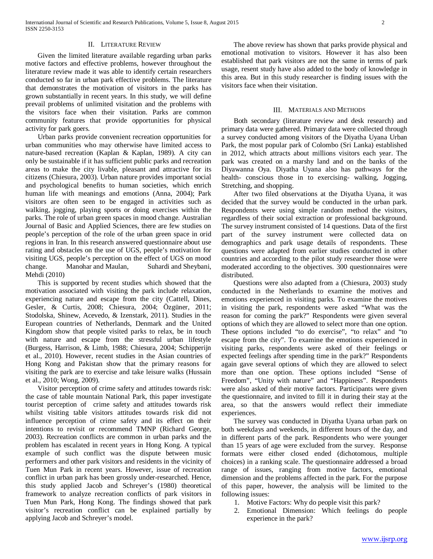#### II. LITERATURE REVIEW

 Given the limited literature available regarding urban parks motive factors and effective problems, however throughout the literature review made it was able to identify certain researchers conducted so far in urban park effective problems. The literature that demonstrates the motivation of visitors in the parks has grown substantially in recent years. In this study, we will define prevail problems of unlimited visitation and the problems with the visitors face when their visitation. Parks are common community features that provide opportunities for physical activity for park goers.

 Urban parks provide convenient recreation opportunities for urban communities who may otherwise have limited access to nature-based recreation (Kaplan & Kaplan, 1989). A city can only be sustainable if it has sufficient public parks and recreation areas to make the city livable, pleasant and attractive for its citizens (Chiesura, 2003). Urban nature provides important social and psychological benefits to human societies, which enrich human life with meanings and emotions (Anna, 2004); Park visitors are often seen to be engaged in activities such as walking, jogging, playing sports or doing exercises within the parks. The role of urban green spaces in mood change*.* Australian Journal of Basic and Applied Sciences, there are few studies on people's perception of the role of the urban green space in orid regions in Iran. In this research answered questionnaire about use rating and obstacles on the use of UGS, people's motivation for visiting UGS, people's perception on the effect of UGS on mood change. Manohar and Maulan, Suhardi and Sheybani, Mehdi (2010)

 This is supported by recent studies which showed that the motivation associated with visiting the park include relaxation, experiencing nature and escape from the city (Cattell, Dines, Gesler, & Curtis, 2008; Chiesura, 2004; Özgüner, 2011; Stodolska, Shinew, Acevedo, & Izenstark, 2011). Studies in the European countries of Netherlands, Denmark and the United Kingdom show that people visited parks to relax, be in touch with nature and escape from the stressful urban lifestyle (Burgess, Harrison, & Limb, 1988; Chiesura, 2004; Schipperijn et al., 2010). However, recent studies in the Asian countries of Hong Kong and Pakistan show that the primary reasons for visiting the park are to exercise and take leisure walks (Hussain et al., 2010; Wong, 2009).

 Visitor perception of crime safety and attitudes towards risk: the case of table mountain National Park, this paper investigate tourist perception of crime safety and attitudes towards risk whilst visiting table visitors attitudes towards risk did not influence perception of crime safety and its effect on their intentions to revisit or recommend TMNP (Richard George, 2003). Recreation conflicts are common in urban parks and the problem has escalated in recent years in Hong Kong. A typical example of such conflict was the dispute between music performers and other park visitors and residents in the vicinity of Tuen Mun Park in recent years. However, issue of recreation conflict in urban park has been grossly under-researched. Hence, this study applied Jacob and Schreyer's (1980) theoretical framework to analyze recreation conflicts of park visitors in Tuen Mun Park, Hong Kong. The findings showed that park visitor's recreation conflict can be explained partially by applying Jacob and Schreyer's model.

 The above review has shown that parks provide physical and emotional motivation to visitors. However it has also been established that park visitors are not the same in terms of park usage, resent study have also added to the body of knowledge in this area. But in this study researcher is finding issues with the visitors face when their visitation.

#### III. MATERIALS AND METHODS

 Both secondary (literature review and desk research) and primary data were gathered. Primary data were collected through a survey conducted among visitors of the Diyatha Uyana Urban Park, the most popular park of Colombo (Sri Lanka) established in 2012, which attracts about millions visitors each year. The park was created on a marshy land and on the banks of the Diyawanna Oya. Diyatha Uyana also has pathways for the health- conscious those in to exercising- walking, Jogging, Stretching, and shopping.

 After two filed observations at the Diyatha Uyana, it was decided that the survey would be conducted in the urban park. Respondents were using simple random method the visitors, regardless of their social extraction or professional background. The survey instrument consisted of 14 questions. Data of the first part of the survey instrument were collected data on demographics and park usage details of respondents. These questions were adapted from earlier studies conducted in other countries and according to the pilot study researcher those were moderated according to the objectives. 300 questionnaires were distributed.

 Questions were also adapted from a (Chiesura, 2003) study conducted in the Netherlands to examine the motives and emotions experienced in visiting parks. To examine the motives in visiting the park, respondents were asked "What was the reason for coming the park?" Respondents were given several options of which they are allowed to select more than one option. These options included "to do exercise", "to relax" and "to escape from the city". To examine the emotions experienced in visiting parks, respondents were asked of their feelings or expected feelings after spending time in the park?" Respondents again gave several options of which they are allowed to select more than one option. These options included "Sense of Freedom", "Unity with nature" and "Happiness". Respondents were also asked of their motive factors. Participants were given the questionnaire, and invited to fill it in during their stay at the area, so that the answers would reflect their immediate experiences.

 The survey was conducted in Diyatha Uyana urban park on both weekdays and weekends, in different hours of the day, and in different parts of the park. Respondents who were younger than 15 years of age were excluded from the survey. Response formats were either closed ended (dichotomous, multiple choices) in a ranking scale. The questionnaire addressed a broad range of issues, ranging from motive factors, emotional dimension and the problems affected in the park. For the purpose of this paper, however, the analysis will be limited to the following issues:

- 1. Motive Factors: Why do people visit this park?
- 2. Emotional Dimension: Which feelings do people experience in the park?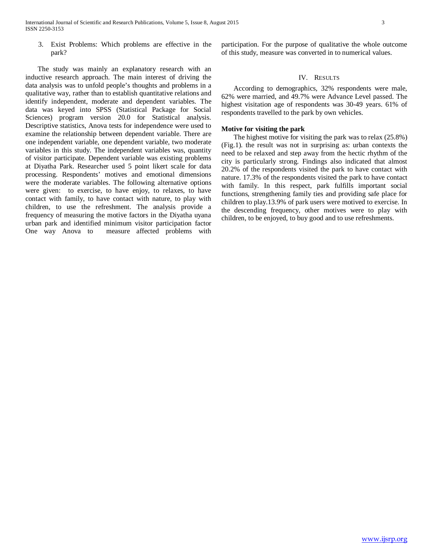3. Exist Problems: Which problems are effective in the park?

 The study was mainly an explanatory research with an inductive research approach. The main interest of driving the data analysis was to unfold people's thoughts and problems in a qualitative way, rather than to establish quantitative relations and identify independent, moderate and dependent variables. The data was keyed into SPSS (Statistical Package for Social Sciences) program version 20.0 for Statistical analysis. Descriptive statistics, Anova tests for independence were used to examine the relationship between dependent variable. There are one independent variable, one dependent variable, two moderate variables in this study. The independent variables was, quantity of visitor participate. Dependent variable was existing problems at Diyatha Park. Researcher used 5 point likert scale for data processing. Respondents' motives and emotional dimensions were the moderate variables. The following alternative options were given: to exercise, to have enjoy, to relaxes, to have contact with family, to have contact with nature, to play with children, to use the refreshment. The analysis provide a frequency of measuring the motive factors in the Diyatha uyana urban park and identified minimum visitor participation factor One way Anova to measure affected problems with participation. For the purpose of qualitative the whole outcome of this study, measure was converted in to numerical values.

# IV. RESULTS

 According to demographics, 32% respondents were male, 62% were married, and 49.7% were Advance Level passed. The highest visitation age of respondents was 30-49 years. 61% of respondents travelled to the park by own vehicles.

## **Motive for visiting the park**

 The highest motive for visiting the park was to relax (25.8%) (Fig.1). the result was not in surprising as: urban contexts the need to be relaxed and step away from the hectic rhythm of the city is particularly strong. Findings also indicated that almost 20.2% of the respondents visited the park to have contact with nature. 17.3% of the respondents visited the park to have contact with family. In this respect, park fulfills important social functions, strengthening family ties and providing safe place for children to play.13.9% of park users were motived to exercise. In the descending frequency, other motives were to play with children, to be enjoyed, to buy good and to use refreshments.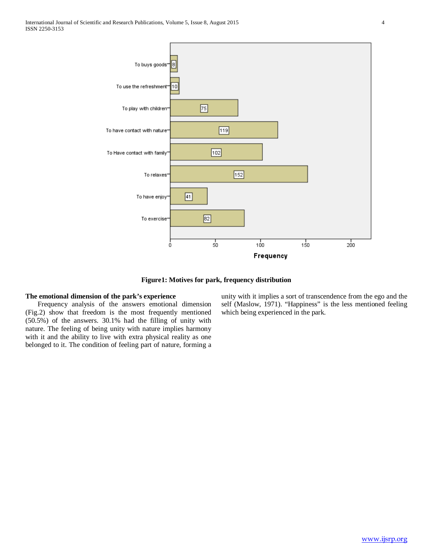

**Figure1: Motives for park, frequency distribution**

# **The emotional dimension of the park's experience**

 Frequency analysis of the answers emotional dimension (Fig.2) show that freedom is the most frequently mentioned (50.5%) of the answers. 30.1% had the filling of unity with nature. The feeling of being unity with nature implies harmony with it and the ability to live with extra physical reality as one belonged to it. The condition of feeling part of nature, forming a unity with it implies a sort of transcendence from the ego and the self (Maslow, 1971). "Happiness" is the less mentioned feeling which being experienced in the park.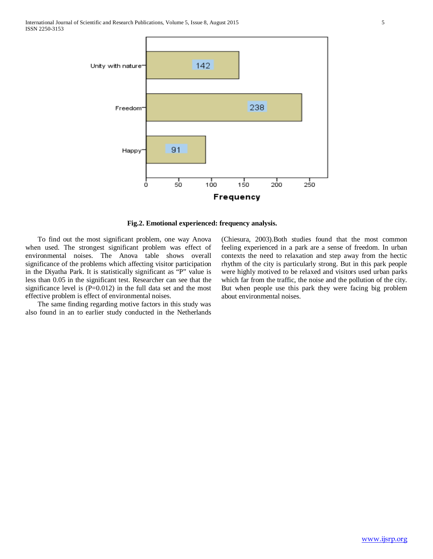

**Fig.2. Emotional experienced: frequency analysis.**

 To find out the most significant problem, one way Anova when used. The strongest significant problem was effect of environmental noises. The Anova table shows overall significance of the problems which affecting visitor participation in the Diyatha Park. It is statistically significant as "P" value is less than 0.05 in the significant test. Researcher can see that the significance level is  $(P=0.012)$  in the full data set and the most effective problem is effect of environmental noises.

 The same finding regarding motive factors in this study was also found in an to earlier study conducted in the Netherlands (Chiesura, 2003).Both studies found that the most common feeling experienced in a park are a sense of freedom. In urban contexts the need to relaxation and step away from the hectic rhythm of the city is particularly strong. But in this park people were highly motived to be relaxed and visitors used urban parks which far from the traffic, the noise and the pollution of the city. But when people use this park they were facing big problem about environmental noises.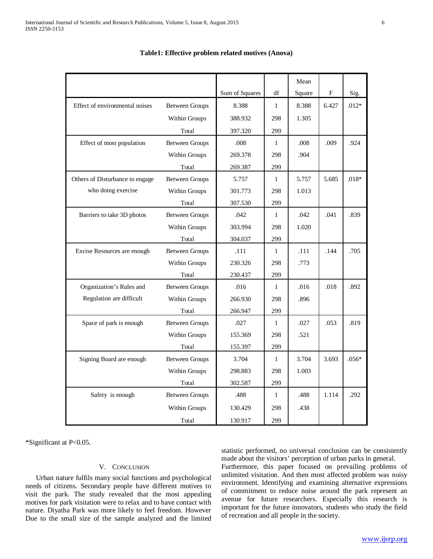|                                 |                       |                |              | Mean   |           |         |
|---------------------------------|-----------------------|----------------|--------------|--------|-----------|---------|
|                                 |                       | Sum of Squares | df           | Square | ${\bf F}$ | Sig.    |
| Effect of environmental noises  | <b>Between Groups</b> | 8.388          | $\mathbf{1}$ | 8.388  | 6.427     | $.012*$ |
|                                 | Within Groups         | 388.932        | 298          | 1.305  |           |         |
|                                 | Total                 | 397.320        | 299          |        |           |         |
| Effect of most population       | <b>Between Groups</b> | .008           | $\mathbf{1}$ | .008   | .009      | .924    |
|                                 | Within Groups         | 269.378        | 298          | .904   |           |         |
|                                 | Total                 | 269.387        | 299          |        |           |         |
| Others of Disturbance to engage | <b>Between Groups</b> | 5.757          | $\mathbf{1}$ | 5.757  | 5.685     | $.018*$ |
| who doing exercise              | Within Groups         | 301.773        | 298          | 1.013  |           |         |
|                                 | Total                 | 307.530        | 299          |        |           |         |
| Barriers to take 3D photos      | <b>Between Groups</b> | .042           | $\mathbf{1}$ | .042   | .041      | .839    |
|                                 | Within Groups         | 303.994        | 298          | 1.020  |           |         |
|                                 | Total                 | 304.037        | 299          |        |           |         |
| Excise Resources are enough     | <b>Between Groups</b> | .111           | $\mathbf{1}$ | .111   | .144      | .705    |
|                                 | Within Groups         | 230.326        | 298          | .773   |           |         |
|                                 | Total                 | 230.437        | 299          |        |           |         |
| Organization's Rules and        | <b>Between Groups</b> | .016           | $\mathbf{1}$ | .016   | .018      | .892    |
| Regulation are difficult        | Within Groups         | 266.930        | 298          | .896   |           |         |
|                                 | Total                 | 266.947        | 299          |        |           |         |
| Space of park is enough         | <b>Between Groups</b> | .027           | $\mathbf{1}$ | .027   | .053      | .819    |
|                                 | Within Groups         | 155.369        | 298          | .521   |           |         |
|                                 | Total                 | 155.397        | 299          |        |           |         |
| Signing Board are enough        | <b>Between Groups</b> | 3.704          | $\mathbf{1}$ | 3.704  | 3.693     | $.056*$ |
|                                 | Within Groups         | 298.883        | 298          | 1.003  |           |         |
|                                 | Total                 | 302.587        | 299          |        |           |         |
| Safety is enough                | <b>Between Groups</b> | .488           | $\mathbf{1}$ | .488   | 1.114     | .292    |
|                                 | Within Groups         | 130.429        | 298          | .438   |           |         |
|                                 | Total                 | 130.917        | 299          |        |           |         |

# **Table1: Effective problem related motives (Anova)**

\*Significant at P<0.05.

#### V. CONCLUSION

 Urban nature fulfils many social functions and psychological needs of citizens. Secondary people have different motives to visit the park. The study revealed that the most appealing motives for park visitation were to relax and to have contact with nature. Diyatha Park was more likely to feel freedom. However Due to the small size of the sample analyzed and the limited statistic performed, no universal conclusion can be consistently made about the visitors' perception of urban parks in general.

Furthermore, this paper focused on prevailing problems of unlimited visitation. And then most affected problem was noisy environment. Identifying and examining alternative expressions of commitment to reduce noise around the park represent an avenue for future researchers. Especially this research is important for the future innovators, students who study the field of recreation and all people in the society.